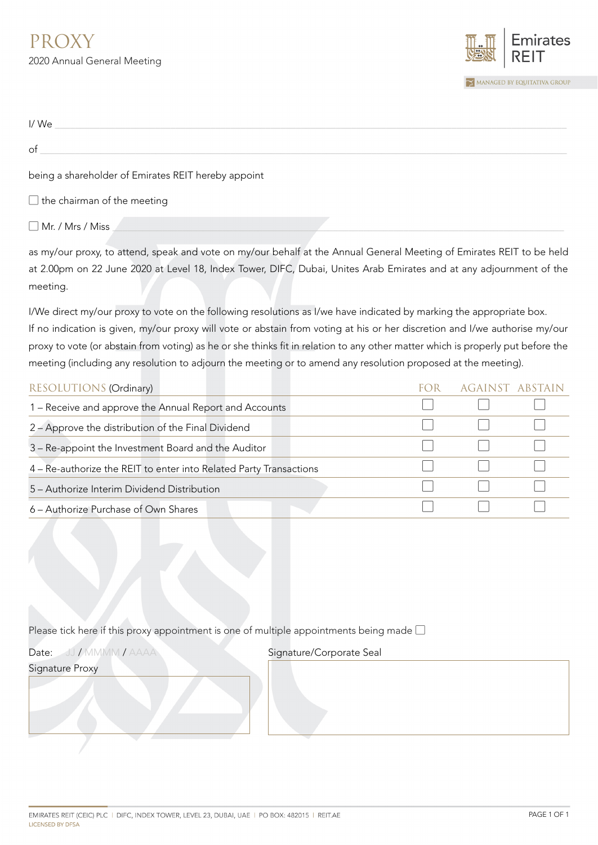

| I/We                                                |  |
|-----------------------------------------------------|--|
| of                                                  |  |
| being a shareholder of Emirates REIT hereby appoint |  |
| $\Box$ the chairman of the meeting                  |  |
| $\Box$ Mr. / Mrs / Miss                             |  |

as my/our proxy, to attend, speak and vote on my/our behalf at the Annual General Meeting of Emirates REIT to be held at 2.00pm on 22 June 2020 at Level 18, Index Tower, DIFC, Dubai, Unites Arab Emirates and at any adjournment of the meeting.

I/We direct my/our proxy to vote on the following resolutions as I/we have indicated by marking the appropriate box. If no indication is given, my/our proxy will vote or abstain from voting at his or her discretion and I/we authorise my/our proxy to vote (or abstain from voting) as he or she thinks fit in relation to any other matter which is properly put before the meeting (including any resolution to adjourn the meeting or to amend any resolution proposed at the meeting).

| RESOLUTIONS (Ordinary)                                             | AGAINST ABSTAIN |  |
|--------------------------------------------------------------------|-----------------|--|
| 1 – Receive and approve the Annual Report and Accounts             |                 |  |
| 2 - Approve the distribution of the Final Dividend                 |                 |  |
| 3 - Re-appoint the Investment Board and the Auditor                |                 |  |
| 4 – Re-authorize the REIT to enter into Related Party Transactions |                 |  |
| 5 – Authorize Interim Dividend Distribution                        |                 |  |
| 6 - Authorize Purchase of Own Shares                               |                 |  |

## Please tick here if this proxy appointment is one of multiple appointments being made  $\square$

Date: JJ / MMMM / AAAA

Signature Proxy